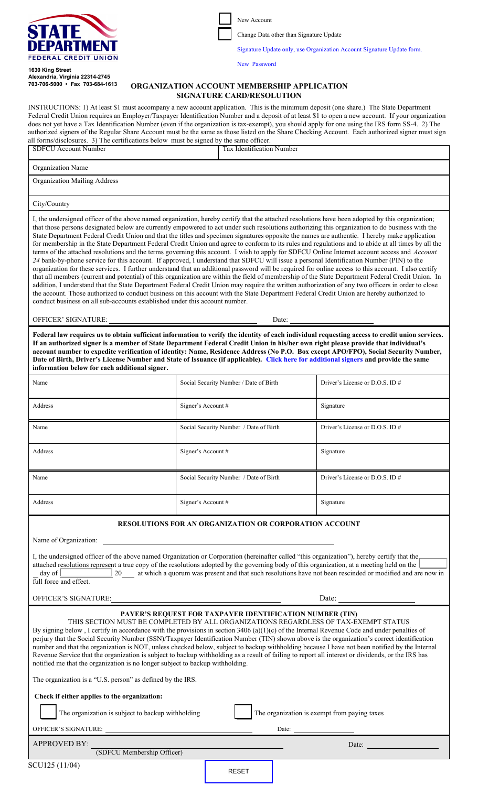

**Alexandria, Virginia 22314-2745 703-706-5000 • Fax 703-684-1613**

**1630 King Street**

New Account

Change Data other than Signature Update

[Signature Update only, use Organization Account Signature Update form.](http://www.sdfcu.org/intranet/netforms/scu126.pdf)

[New Password](http://www.sdfcu.org/intranet/netforms/password.pdf)

#### **ORGANIZATION ACCOUNT MEMBERSHIP APPLICATION SIGNATURE CARD/RESOLUTION**

INSTRUCTIONS: 1) At least \$1 must accompany a new account application. This is the minimum deposit (one share.) The State Department Federal Credit Union requires an Employer/Taxpayer Identification Number and a deposit of at least \$1 to open a new account. If your organization does not yet have a Tax Identification Number (even if the organization is tax-exempt), you should apply for one using the IRS form SS-4. 2) The authorized signers of the Regular Share Account must be the same as those listed on the Share Checking Account. Each authorized signer must sign

| Organization Name<br><b>Organization Mailing Address</b><br>City/Country<br>I, the undersigned officer of the above named organization, hereby certify that the attached resolutions have been adopted by this organization;<br>that those persons designated below are currently empowered to act under such resolutions authorizing this organization to do business with the<br>State Department Federal Credit Union and that the titles and specimen signatures opposite the names are authentic. I hereby make application<br>for membership in the State Department Federal Credit Union and agree to conform to its rules and regulations and to abide at all times by all the<br>terms of the attached resolutions and the terms governing this account. I wish to apply for SDFCU Online Internet account access and Account<br>24 bank-by-phone service for this account. If approved, I understand that SDFCU will issue a personal Identification Number (PIN) to the<br>organization for these services. I further understand that an additional password will be required for online access to this account. I also certify<br>that all members (current and potential) of this organization are within the field of membership of the State Department Federal Credit Union. In<br>addition, I understand that the State Department Federal Credit Union may require the written authorization of any two officers in order to close<br>the account. Those authorized to conduct business on this account with the State Department Federal Credit Union are hereby authorized to<br>conduct business on all sub-accounts established under this account number.<br>OFFICER' SIGNATURE:<br>Date:<br>Federal law requires us to obtain sufficient information to verify the identity of each individual requesting access to credit union services.<br>If an authorized signer is a member of State Department Federal Credit Union in his/her own right please provide that individual's<br>account number to expedite verification of identity: Name, Residence Address (No P.O. Box except APO/FPO), Social Security Number,<br>Date of Birth, Driver's License Number and State of Issuance (if applicable). Click here for additional signers and provide the same<br>information below for each additional signer.<br>Driver's License or D.O.S. ID#<br>Name<br>Social Security Number / Date of Birth<br>Address<br>Signer's Account #<br>Signature<br>Driver's License or D.O.S. ID#<br>Name<br>Social Security Number / Date of Birth<br>Address<br>Signer's Account #<br>Signature<br>Driver's License or D.O.S. ID#<br>Name<br>Social Security Number / Date of Birth<br>Address<br>Signer's Account#<br>Signature<br>RESOLUTIONS FOR AN ORGANIZATION OR CORPORATION ACCOUNT<br>Name of Organization:<br>I, the undersigned officer of the above named Organization or Corporation (hereinafter called "this organization"), hereby certify that the<br>attached resolutions represent a true copy of the resolutions adopted by the governing body of this organization, at a meeting held on the<br>20 at which a quorum was present and that such resolutions have not been rescinded or modified and are now in<br>day of $\lfloor$<br>full force and effect.<br>OFFICER'S SIGNATURE:<br>Date:<br>PAYER'S REQUEST FOR TAXPAYER IDENTIFICATION NUMBER (TIN)<br>THIS SECTION MUST BE COMPLETED BY ALL ORGANIZATIONS REGARDLESS OF TAX-EXEMPT STATUS<br>By signing below, I certify in accordance with the provisions in section $3406 \text{ (a)}(1)$ (c) of the Internal Revenue Code and under penalties of<br>perjury that the Social Security Number (SSN)/Taxpayer Identification Number (TIN) shown above is the organization's correct identification<br>number and that the organization is NOT, unless checked below, subject to backup withholding because I have not been notified by the Internal<br>Revenue Service that the organization is subject to backup withholding as a result of failing to report all interest or dividends, or the IRS has<br>notified me that the organization is no longer subject to backup withholding.<br>The organization is a "U.S. person" as defined by the IRS.<br>Check if either applies to the organization:<br>The organization is subject to backup withholding<br>The organization is exempt from paying taxes<br>OFFICER'S SIGNATURE:<br>Date:<br><b>APPROVED BY:</b><br>Date:<br>(SDFCU Membership Officer) | all forms/disclosures. 3) The certifications below must be signed by the same officer.<br><b>SDFCU Account Number</b> |  |              |  | authorized signers of the Regular Share Account must be the same as those fisted on the Share Checking Account. Each authorized signer must sign<br><b>Tax Identification Number</b> |  |
|---------------------------------------------------------------------------------------------------------------------------------------------------------------------------------------------------------------------------------------------------------------------------------------------------------------------------------------------------------------------------------------------------------------------------------------------------------------------------------------------------------------------------------------------------------------------------------------------------------------------------------------------------------------------------------------------------------------------------------------------------------------------------------------------------------------------------------------------------------------------------------------------------------------------------------------------------------------------------------------------------------------------------------------------------------------------------------------------------------------------------------------------------------------------------------------------------------------------------------------------------------------------------------------------------------------------------------------------------------------------------------------------------------------------------------------------------------------------------------------------------------------------------------------------------------------------------------------------------------------------------------------------------------------------------------------------------------------------------------------------------------------------------------------------------------------------------------------------------------------------------------------------------------------------------------------------------------------------------------------------------------------------------------------------------------------------------------------------------------------------------------------------------------------------------------------------------------------------------------------------------------------------------------------------------------------------------------------------------------------------------------------------------------------------------------------------------------------------------------------------------------------------------------------------------------------------------------------------------------------------------------------------------------------------------------------------------------------------------------------------------------------------------------------------------------------------------------------------------------------------------------------------------------------------------------------------------------------------------------------------------------------------------------------------------------------------------------------------------------------------------------------------------------------------------------------------------------------------------------------------------------------------------------------------------------------------------------------------------------------------------------------------------------------------------------------------------------------------------------------------------------------------------------------------------------------------------------------------------------------------------------------------------------------------------------------------------------------------------------------------------------------------------------------------------------------------------------------------------------------------------------------------------------------------------------------------------------------------------------------------------------------------------------------------------------------------------------------------------------------------------------------------------------------------------------------------------------------------------------------------------------------------------------------------------------------------------------------------------------------------------------------------------------------------------------------------------------------------------------------------------|-----------------------------------------------------------------------------------------------------------------------|--|--------------|--|--------------------------------------------------------------------------------------------------------------------------------------------------------------------------------------|--|
|                                                                                                                                                                                                                                                                                                                                                                                                                                                                                                                                                                                                                                                                                                                                                                                                                                                                                                                                                                                                                                                                                                                                                                                                                                                                                                                                                                                                                                                                                                                                                                                                                                                                                                                                                                                                                                                                                                                                                                                                                                                                                                                                                                                                                                                                                                                                                                                                                                                                                                                                                                                                                                                                                                                                                                                                                                                                                                                                                                                                                                                                                                                                                                                                                                                                                                                                                                                                                                                                                                                                                                                                                                                                                                                                                                                                                                                                                                                                                                                                                                                                                                                                                                                                                                                                                                                                                                                                                                                                                                   |                                                                                                                       |  |              |  |                                                                                                                                                                                      |  |
|                                                                                                                                                                                                                                                                                                                                                                                                                                                                                                                                                                                                                                                                                                                                                                                                                                                                                                                                                                                                                                                                                                                                                                                                                                                                                                                                                                                                                                                                                                                                                                                                                                                                                                                                                                                                                                                                                                                                                                                                                                                                                                                                                                                                                                                                                                                                                                                                                                                                                                                                                                                                                                                                                                                                                                                                                                                                                                                                                                                                                                                                                                                                                                                                                                                                                                                                                                                                                                                                                                                                                                                                                                                                                                                                                                                                                                                                                                                                                                                                                                                                                                                                                                                                                                                                                                                                                                                                                                                                                                   |                                                                                                                       |  |              |  |                                                                                                                                                                                      |  |
|                                                                                                                                                                                                                                                                                                                                                                                                                                                                                                                                                                                                                                                                                                                                                                                                                                                                                                                                                                                                                                                                                                                                                                                                                                                                                                                                                                                                                                                                                                                                                                                                                                                                                                                                                                                                                                                                                                                                                                                                                                                                                                                                                                                                                                                                                                                                                                                                                                                                                                                                                                                                                                                                                                                                                                                                                                                                                                                                                                                                                                                                                                                                                                                                                                                                                                                                                                                                                                                                                                                                                                                                                                                                                                                                                                                                                                                                                                                                                                                                                                                                                                                                                                                                                                                                                                                                                                                                                                                                                                   |                                                                                                                       |  |              |  |                                                                                                                                                                                      |  |
|                                                                                                                                                                                                                                                                                                                                                                                                                                                                                                                                                                                                                                                                                                                                                                                                                                                                                                                                                                                                                                                                                                                                                                                                                                                                                                                                                                                                                                                                                                                                                                                                                                                                                                                                                                                                                                                                                                                                                                                                                                                                                                                                                                                                                                                                                                                                                                                                                                                                                                                                                                                                                                                                                                                                                                                                                                                                                                                                                                                                                                                                                                                                                                                                                                                                                                                                                                                                                                                                                                                                                                                                                                                                                                                                                                                                                                                                                                                                                                                                                                                                                                                                                                                                                                                                                                                                                                                                                                                                                                   |                                                                                                                       |  |              |  |                                                                                                                                                                                      |  |
|                                                                                                                                                                                                                                                                                                                                                                                                                                                                                                                                                                                                                                                                                                                                                                                                                                                                                                                                                                                                                                                                                                                                                                                                                                                                                                                                                                                                                                                                                                                                                                                                                                                                                                                                                                                                                                                                                                                                                                                                                                                                                                                                                                                                                                                                                                                                                                                                                                                                                                                                                                                                                                                                                                                                                                                                                                                                                                                                                                                                                                                                                                                                                                                                                                                                                                                                                                                                                                                                                                                                                                                                                                                                                                                                                                                                                                                                                                                                                                                                                                                                                                                                                                                                                                                                                                                                                                                                                                                                                                   |                                                                                                                       |  |              |  |                                                                                                                                                                                      |  |
|                                                                                                                                                                                                                                                                                                                                                                                                                                                                                                                                                                                                                                                                                                                                                                                                                                                                                                                                                                                                                                                                                                                                                                                                                                                                                                                                                                                                                                                                                                                                                                                                                                                                                                                                                                                                                                                                                                                                                                                                                                                                                                                                                                                                                                                                                                                                                                                                                                                                                                                                                                                                                                                                                                                                                                                                                                                                                                                                                                                                                                                                                                                                                                                                                                                                                                                                                                                                                                                                                                                                                                                                                                                                                                                                                                                                                                                                                                                                                                                                                                                                                                                                                                                                                                                                                                                                                                                                                                                                                                   |                                                                                                                       |  |              |  |                                                                                                                                                                                      |  |
|                                                                                                                                                                                                                                                                                                                                                                                                                                                                                                                                                                                                                                                                                                                                                                                                                                                                                                                                                                                                                                                                                                                                                                                                                                                                                                                                                                                                                                                                                                                                                                                                                                                                                                                                                                                                                                                                                                                                                                                                                                                                                                                                                                                                                                                                                                                                                                                                                                                                                                                                                                                                                                                                                                                                                                                                                                                                                                                                                                                                                                                                                                                                                                                                                                                                                                                                                                                                                                                                                                                                                                                                                                                                                                                                                                                                                                                                                                                                                                                                                                                                                                                                                                                                                                                                                                                                                                                                                                                                                                   |                                                                                                                       |  |              |  |                                                                                                                                                                                      |  |
|                                                                                                                                                                                                                                                                                                                                                                                                                                                                                                                                                                                                                                                                                                                                                                                                                                                                                                                                                                                                                                                                                                                                                                                                                                                                                                                                                                                                                                                                                                                                                                                                                                                                                                                                                                                                                                                                                                                                                                                                                                                                                                                                                                                                                                                                                                                                                                                                                                                                                                                                                                                                                                                                                                                                                                                                                                                                                                                                                                                                                                                                                                                                                                                                                                                                                                                                                                                                                                                                                                                                                                                                                                                                                                                                                                                                                                                                                                                                                                                                                                                                                                                                                                                                                                                                                                                                                                                                                                                                                                   |                                                                                                                       |  |              |  |                                                                                                                                                                                      |  |
|                                                                                                                                                                                                                                                                                                                                                                                                                                                                                                                                                                                                                                                                                                                                                                                                                                                                                                                                                                                                                                                                                                                                                                                                                                                                                                                                                                                                                                                                                                                                                                                                                                                                                                                                                                                                                                                                                                                                                                                                                                                                                                                                                                                                                                                                                                                                                                                                                                                                                                                                                                                                                                                                                                                                                                                                                                                                                                                                                                                                                                                                                                                                                                                                                                                                                                                                                                                                                                                                                                                                                                                                                                                                                                                                                                                                                                                                                                                                                                                                                                                                                                                                                                                                                                                                                                                                                                                                                                                                                                   |                                                                                                                       |  |              |  |                                                                                                                                                                                      |  |
|                                                                                                                                                                                                                                                                                                                                                                                                                                                                                                                                                                                                                                                                                                                                                                                                                                                                                                                                                                                                                                                                                                                                                                                                                                                                                                                                                                                                                                                                                                                                                                                                                                                                                                                                                                                                                                                                                                                                                                                                                                                                                                                                                                                                                                                                                                                                                                                                                                                                                                                                                                                                                                                                                                                                                                                                                                                                                                                                                                                                                                                                                                                                                                                                                                                                                                                                                                                                                                                                                                                                                                                                                                                                                                                                                                                                                                                                                                                                                                                                                                                                                                                                                                                                                                                                                                                                                                                                                                                                                                   |                                                                                                                       |  |              |  |                                                                                                                                                                                      |  |
|                                                                                                                                                                                                                                                                                                                                                                                                                                                                                                                                                                                                                                                                                                                                                                                                                                                                                                                                                                                                                                                                                                                                                                                                                                                                                                                                                                                                                                                                                                                                                                                                                                                                                                                                                                                                                                                                                                                                                                                                                                                                                                                                                                                                                                                                                                                                                                                                                                                                                                                                                                                                                                                                                                                                                                                                                                                                                                                                                                                                                                                                                                                                                                                                                                                                                                                                                                                                                                                                                                                                                                                                                                                                                                                                                                                                                                                                                                                                                                                                                                                                                                                                                                                                                                                                                                                                                                                                                                                                                                   |                                                                                                                       |  |              |  |                                                                                                                                                                                      |  |
|                                                                                                                                                                                                                                                                                                                                                                                                                                                                                                                                                                                                                                                                                                                                                                                                                                                                                                                                                                                                                                                                                                                                                                                                                                                                                                                                                                                                                                                                                                                                                                                                                                                                                                                                                                                                                                                                                                                                                                                                                                                                                                                                                                                                                                                                                                                                                                                                                                                                                                                                                                                                                                                                                                                                                                                                                                                                                                                                                                                                                                                                                                                                                                                                                                                                                                                                                                                                                                                                                                                                                                                                                                                                                                                                                                                                                                                                                                                                                                                                                                                                                                                                                                                                                                                                                                                                                                                                                                                                                                   |                                                                                                                       |  |              |  |                                                                                                                                                                                      |  |
|                                                                                                                                                                                                                                                                                                                                                                                                                                                                                                                                                                                                                                                                                                                                                                                                                                                                                                                                                                                                                                                                                                                                                                                                                                                                                                                                                                                                                                                                                                                                                                                                                                                                                                                                                                                                                                                                                                                                                                                                                                                                                                                                                                                                                                                                                                                                                                                                                                                                                                                                                                                                                                                                                                                                                                                                                                                                                                                                                                                                                                                                                                                                                                                                                                                                                                                                                                                                                                                                                                                                                                                                                                                                                                                                                                                                                                                                                                                                                                                                                                                                                                                                                                                                                                                                                                                                                                                                                                                                                                   |                                                                                                                       |  |              |  |                                                                                                                                                                                      |  |
|                                                                                                                                                                                                                                                                                                                                                                                                                                                                                                                                                                                                                                                                                                                                                                                                                                                                                                                                                                                                                                                                                                                                                                                                                                                                                                                                                                                                                                                                                                                                                                                                                                                                                                                                                                                                                                                                                                                                                                                                                                                                                                                                                                                                                                                                                                                                                                                                                                                                                                                                                                                                                                                                                                                                                                                                                                                                                                                                                                                                                                                                                                                                                                                                                                                                                                                                                                                                                                                                                                                                                                                                                                                                                                                                                                                                                                                                                                                                                                                                                                                                                                                                                                                                                                                                                                                                                                                                                                                                                                   |                                                                                                                       |  |              |  |                                                                                                                                                                                      |  |
|                                                                                                                                                                                                                                                                                                                                                                                                                                                                                                                                                                                                                                                                                                                                                                                                                                                                                                                                                                                                                                                                                                                                                                                                                                                                                                                                                                                                                                                                                                                                                                                                                                                                                                                                                                                                                                                                                                                                                                                                                                                                                                                                                                                                                                                                                                                                                                                                                                                                                                                                                                                                                                                                                                                                                                                                                                                                                                                                                                                                                                                                                                                                                                                                                                                                                                                                                                                                                                                                                                                                                                                                                                                                                                                                                                                                                                                                                                                                                                                                                                                                                                                                                                                                                                                                                                                                                                                                                                                                                                   |                                                                                                                       |  |              |  |                                                                                                                                                                                      |  |
|                                                                                                                                                                                                                                                                                                                                                                                                                                                                                                                                                                                                                                                                                                                                                                                                                                                                                                                                                                                                                                                                                                                                                                                                                                                                                                                                                                                                                                                                                                                                                                                                                                                                                                                                                                                                                                                                                                                                                                                                                                                                                                                                                                                                                                                                                                                                                                                                                                                                                                                                                                                                                                                                                                                                                                                                                                                                                                                                                                                                                                                                                                                                                                                                                                                                                                                                                                                                                                                                                                                                                                                                                                                                                                                                                                                                                                                                                                                                                                                                                                                                                                                                                                                                                                                                                                                                                                                                                                                                                                   |                                                                                                                       |  |              |  |                                                                                                                                                                                      |  |
|                                                                                                                                                                                                                                                                                                                                                                                                                                                                                                                                                                                                                                                                                                                                                                                                                                                                                                                                                                                                                                                                                                                                                                                                                                                                                                                                                                                                                                                                                                                                                                                                                                                                                                                                                                                                                                                                                                                                                                                                                                                                                                                                                                                                                                                                                                                                                                                                                                                                                                                                                                                                                                                                                                                                                                                                                                                                                                                                                                                                                                                                                                                                                                                                                                                                                                                                                                                                                                                                                                                                                                                                                                                                                                                                                                                                                                                                                                                                                                                                                                                                                                                                                                                                                                                                                                                                                                                                                                                                                                   |                                                                                                                       |  |              |  |                                                                                                                                                                                      |  |
|                                                                                                                                                                                                                                                                                                                                                                                                                                                                                                                                                                                                                                                                                                                                                                                                                                                                                                                                                                                                                                                                                                                                                                                                                                                                                                                                                                                                                                                                                                                                                                                                                                                                                                                                                                                                                                                                                                                                                                                                                                                                                                                                                                                                                                                                                                                                                                                                                                                                                                                                                                                                                                                                                                                                                                                                                                                                                                                                                                                                                                                                                                                                                                                                                                                                                                                                                                                                                                                                                                                                                                                                                                                                                                                                                                                                                                                                                                                                                                                                                                                                                                                                                                                                                                                                                                                                                                                                                                                                                                   |                                                                                                                       |  |              |  |                                                                                                                                                                                      |  |
|                                                                                                                                                                                                                                                                                                                                                                                                                                                                                                                                                                                                                                                                                                                                                                                                                                                                                                                                                                                                                                                                                                                                                                                                                                                                                                                                                                                                                                                                                                                                                                                                                                                                                                                                                                                                                                                                                                                                                                                                                                                                                                                                                                                                                                                                                                                                                                                                                                                                                                                                                                                                                                                                                                                                                                                                                                                                                                                                                                                                                                                                                                                                                                                                                                                                                                                                                                                                                                                                                                                                                                                                                                                                                                                                                                                                                                                                                                                                                                                                                                                                                                                                                                                                                                                                                                                                                                                                                                                                                                   |                                                                                                                       |  |              |  |                                                                                                                                                                                      |  |
|                                                                                                                                                                                                                                                                                                                                                                                                                                                                                                                                                                                                                                                                                                                                                                                                                                                                                                                                                                                                                                                                                                                                                                                                                                                                                                                                                                                                                                                                                                                                                                                                                                                                                                                                                                                                                                                                                                                                                                                                                                                                                                                                                                                                                                                                                                                                                                                                                                                                                                                                                                                                                                                                                                                                                                                                                                                                                                                                                                                                                                                                                                                                                                                                                                                                                                                                                                                                                                                                                                                                                                                                                                                                                                                                                                                                                                                                                                                                                                                                                                                                                                                                                                                                                                                                                                                                                                                                                                                                                                   |                                                                                                                       |  |              |  |                                                                                                                                                                                      |  |
|                                                                                                                                                                                                                                                                                                                                                                                                                                                                                                                                                                                                                                                                                                                                                                                                                                                                                                                                                                                                                                                                                                                                                                                                                                                                                                                                                                                                                                                                                                                                                                                                                                                                                                                                                                                                                                                                                                                                                                                                                                                                                                                                                                                                                                                                                                                                                                                                                                                                                                                                                                                                                                                                                                                                                                                                                                                                                                                                                                                                                                                                                                                                                                                                                                                                                                                                                                                                                                                                                                                                                                                                                                                                                                                                                                                                                                                                                                                                                                                                                                                                                                                                                                                                                                                                                                                                                                                                                                                                                                   |                                                                                                                       |  |              |  |                                                                                                                                                                                      |  |
|                                                                                                                                                                                                                                                                                                                                                                                                                                                                                                                                                                                                                                                                                                                                                                                                                                                                                                                                                                                                                                                                                                                                                                                                                                                                                                                                                                                                                                                                                                                                                                                                                                                                                                                                                                                                                                                                                                                                                                                                                                                                                                                                                                                                                                                                                                                                                                                                                                                                                                                                                                                                                                                                                                                                                                                                                                                                                                                                                                                                                                                                                                                                                                                                                                                                                                                                                                                                                                                                                                                                                                                                                                                                                                                                                                                                                                                                                                                                                                                                                                                                                                                                                                                                                                                                                                                                                                                                                                                                                                   |                                                                                                                       |  |              |  |                                                                                                                                                                                      |  |
|                                                                                                                                                                                                                                                                                                                                                                                                                                                                                                                                                                                                                                                                                                                                                                                                                                                                                                                                                                                                                                                                                                                                                                                                                                                                                                                                                                                                                                                                                                                                                                                                                                                                                                                                                                                                                                                                                                                                                                                                                                                                                                                                                                                                                                                                                                                                                                                                                                                                                                                                                                                                                                                                                                                                                                                                                                                                                                                                                                                                                                                                                                                                                                                                                                                                                                                                                                                                                                                                                                                                                                                                                                                                                                                                                                                                                                                                                                                                                                                                                                                                                                                                                                                                                                                                                                                                                                                                                                                                                                   |                                                                                                                       |  |              |  |                                                                                                                                                                                      |  |
|                                                                                                                                                                                                                                                                                                                                                                                                                                                                                                                                                                                                                                                                                                                                                                                                                                                                                                                                                                                                                                                                                                                                                                                                                                                                                                                                                                                                                                                                                                                                                                                                                                                                                                                                                                                                                                                                                                                                                                                                                                                                                                                                                                                                                                                                                                                                                                                                                                                                                                                                                                                                                                                                                                                                                                                                                                                                                                                                                                                                                                                                                                                                                                                                                                                                                                                                                                                                                                                                                                                                                                                                                                                                                                                                                                                                                                                                                                                                                                                                                                                                                                                                                                                                                                                                                                                                                                                                                                                                                                   | SCU125 (11/04)                                                                                                        |  | <b>RESET</b> |  |                                                                                                                                                                                      |  |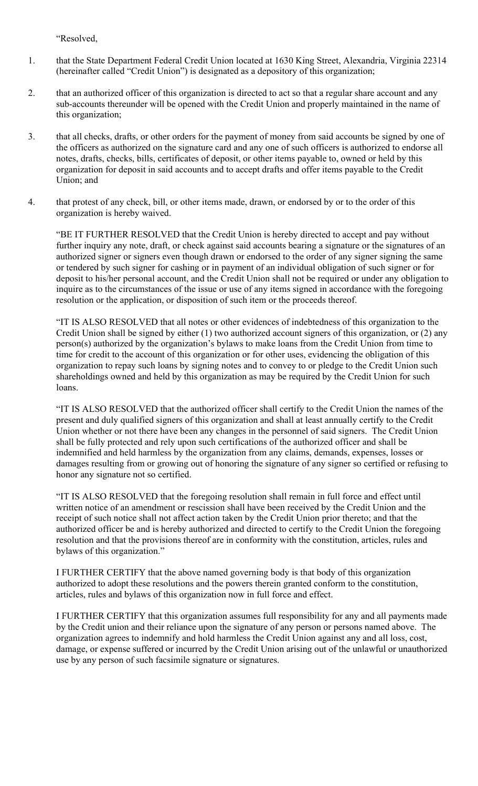"Resolved,

- 1. that the State Department Federal Credit Union located at 1630 King Street, Alexandria, Virginia 22314 (hereinafter called "Credit Union") is designated as a depository of this organization;
- 2. that an authorized officer of this organization is directed to act so that a regular share account and any sub-accounts thereunder will be opened with the Credit Union and properly maintained in the name of this organization;
- 3. that all checks, drafts, or other orders for the payment of money from said accounts be signed by one of the officers as authorized on the signature card and any one of such officers is authorized to endorse all notes, drafts, checks, bills, certificates of deposit, or other items payable to, owned or held by this organization for deposit in said accounts and to accept drafts and offer items payable to the Credit Union; and
- 4. that protest of any check, bill, or other items made, drawn, or endorsed by or to the order of this organization is hereby waived.

"BE IT FURTHER RESOLVED that the Credit Union is hereby directed to accept and pay without further inquiry any note, draft, or check against said accounts bearing a signature or the signatures of an authorized signer or signers even though drawn or endorsed to the order of any signer signing the same or tendered by such signer for cashing or in payment of an individual obligation of such signer or for deposit to his/her personal account, and the Credit Union shall not be required or under any obligation to inquire as to the circumstances of the issue or use of any items signed in accordance with the foregoing resolution or the application, or disposition of such item or the proceeds thereof.

"IT IS ALSO RESOLVED that all notes or other evidences of indebtedness of this organization to the Credit Union shall be signed by either (1) two authorized account signers of this organization, or (2) any person(s) authorized by the organization's bylaws to make loans from the Credit Union from time to time for credit to the account of this organization or for other uses, evidencing the obligation of this organization to repay such loans by signing notes and to convey to or pledge to the Credit Union such shareholdings owned and held by this organization as may be required by the Credit Union for such loans.

"IT IS ALSO RESOLVED that the authorized officer shall certify to the Credit Union the names of the present and duly qualified signers of this organization and shall at least annually certify to the Credit Union whether or not there have been any changes in the personnel of said signers. The Credit Union shall be fully protected and rely upon such certifications of the authorized officer and shall be indemnified and held harmless by the organization from any claims, demands, expenses, losses or damages resulting from or growing out of honoring the signature of any signer so certified or refusing to honor any signature not so certified.

"IT IS ALSO RESOLVED that the foregoing resolution shall remain in full force and effect until written notice of an amendment or rescission shall have been received by the Credit Union and the receipt of such notice shall not affect action taken by the Credit Union prior thereto; and that the authorized officer be and is hereby authorized and directed to certify to the Credit Union the foregoing resolution and that the provisions thereof are in conformity with the constitution, articles, rules and bylaws of this organization."

I FURTHER CERTIFY that the above named governing body is that body of this organization authorized to adopt these resolutions and the powers therein granted conform to the constitution, articles, rules and bylaws of this organization now in full force and effect.

I FURTHER CERTIFY that this organization assumes full responsibility for any and all payments made by the Credit union and their reliance upon the signature of any person or persons named above. The organization agrees to indemnify and hold harmless the Credit Union against any and all loss, cost, damage, or expense suffered or incurred by the Credit Union arising out of the unlawful or unauthorized use by any person of such facsimile signature or signatures.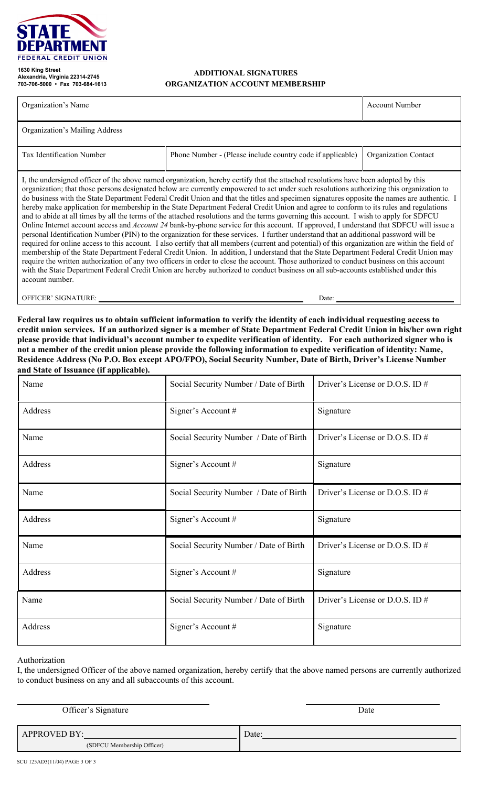<span id="page-2-0"></span>

**1630 King Street Alexandria, Virginia 22314-2745 703-706-5000 • Fax 703-684-1613**

#### **ADDITIONAL SIGNATURES ORGANIZATION ACCOUNT MEMBERSHIP**

| Organization's Name                                                                                                                                                                                                                                                                                                                                                                                                                                                                                                                                                                                                                                                                                                                                                                                                                                                                                                                                                                                                                                                                                                                                                                                                                                                                                                                                                                                                                                                                                                                                                                                            |                                                            | <b>Account Number</b>       |  |  |  |
|----------------------------------------------------------------------------------------------------------------------------------------------------------------------------------------------------------------------------------------------------------------------------------------------------------------------------------------------------------------------------------------------------------------------------------------------------------------------------------------------------------------------------------------------------------------------------------------------------------------------------------------------------------------------------------------------------------------------------------------------------------------------------------------------------------------------------------------------------------------------------------------------------------------------------------------------------------------------------------------------------------------------------------------------------------------------------------------------------------------------------------------------------------------------------------------------------------------------------------------------------------------------------------------------------------------------------------------------------------------------------------------------------------------------------------------------------------------------------------------------------------------------------------------------------------------------------------------------------------------|------------------------------------------------------------|-----------------------------|--|--|--|
| Organization's Mailing Address                                                                                                                                                                                                                                                                                                                                                                                                                                                                                                                                                                                                                                                                                                                                                                                                                                                                                                                                                                                                                                                                                                                                                                                                                                                                                                                                                                                                                                                                                                                                                                                 |                                                            |                             |  |  |  |
| Tax Identification Number                                                                                                                                                                                                                                                                                                                                                                                                                                                                                                                                                                                                                                                                                                                                                                                                                                                                                                                                                                                                                                                                                                                                                                                                                                                                                                                                                                                                                                                                                                                                                                                      | Phone Number - (Please include country code if applicable) | <b>Organization Contact</b> |  |  |  |
| I, the undersigned officer of the above named organization, hereby certify that the attached resolutions have been adopted by this<br>organization; that those persons designated below are currently empowered to act under such resolutions authorizing this organization to<br>do business with the State Department Federal Credit Union and that the titles and specimen signatures opposite the names are authentic. I<br>hereby make application for membership in the State Department Federal Credit Union and agree to conform to its rules and regulations<br>and to abide at all times by all the terms of the attached resolutions and the terms governing this account. I wish to apply for SDFCU<br>Online Internet account access and <i>Account 24</i> bank-by-phone service for this account. If approved, I understand that SDFCU will issue a<br>personal Identification Number (PIN) to the organization for these services. I further understand that an additional password will be<br>required for online access to this account. I also certify that all members (current and potential) of this organization are within the field of<br>membership of the State Department Federal Credit Union. In addition, I understand that the State Department Federal Credit Union may<br>require the written authorization of any two officers in order to close the account. Those authorized to conduct business on this account<br>with the State Department Federal Credit Union are hereby authorized to conduct business on all sub-accounts established under this<br>account number. |                                                            |                             |  |  |  |

OFFICER' SIGNATURE: Date:

**Federal law requires us to obtain sufficient information to verify the identity of each individual requesting access to credit union services. If an authorized signer is a member of State Department Federal Credit Union in his/her own right please provide that individual's account number to expedite verification of identity. For each authorized signer who is not a member of the credit union please provide the following information to expedite verification of identity: Name, Residence Address (No P.O. Box except APO/FPO), Social Security Number, Date of Birth, Driver's License Number and State of Issuance (if applicable).**

| Name    | Social Security Number / Date of Birth | Driver's License or D.O.S. ID # |
|---------|----------------------------------------|---------------------------------|
| Address | Signer's Account #                     | Signature                       |
| Name    | Social Security Number / Date of Birth | Driver's License or D.O.S. ID # |
| Address | Signer's Account #                     | Signature                       |
| Name    | Social Security Number / Date of Birth | Driver's License or D.O.S. ID#  |
| Address | Signer's Account #                     | Signature                       |
| Name    | Social Security Number / Date of Birth | Driver's License or D.O.S. ID # |
| Address | Signer's Account #                     | Signature                       |
| Name    | Social Security Number / Date of Birth | Driver's License or D.O.S. ID#  |
| Address | Signer's Account #                     | Signature                       |

Authorization

I, the undersigned Officer of the above named organization, hereby certify that the above named persons are currently authorized to conduct business on any and all subaccounts of this account.

| Officer's Signature        | Date  |
|----------------------------|-------|
| <b>APPROVED BY:</b>        | Date: |
| (SDFCU Membership Officer) |       |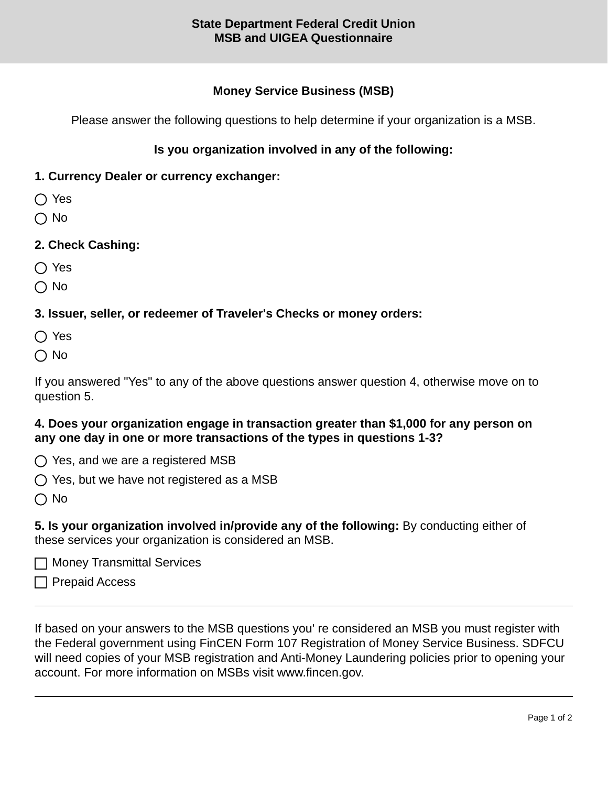## **Money Service Business (MSB)**

Please answer the following questions to help determine if your organization is a MSB.

## **Is you organization involved in any of the following:**

#### **1. Currency Dealer or currency exchanger:**

- ◯ Yes
- $\bigcap$  No

## **2. Check Cashing:**

◯ Yes

 $\bigcirc$  No

#### **3. Issuer, seller, or redeemer of Traveler's Checks or money orders:**

◯ Yes

 $\bigcirc$  No

If you answered "Yes" to any of the above questions answer question 4, otherwise move on to question 5.

## **4. Does your organization engage in transaction greater than \$1,000 for any person on any one day in one or more transactions of the types in questions 1-3?**

 $\bigcap$  Yes, and we are a registered MSB

 $\bigcirc$  Yes, but we have not registered as a MSB

 $\bigcirc$  No

**5. Is your organization involved in/provide any of the following:** By conducting either of these services your organization is considered an MSB.

Money Transmittal Services

 $\Box$  Prepaid Access

If based on your answers to the MSB questions you' re considered an MSB you must register with the Federal government using FinCEN Form 107 Registration of Money Service Business. SDFCU will need copies of your MSB registration and Anti-Money Laundering policies prior to opening your account. For more information on MSBs visit www.fincen.gov.